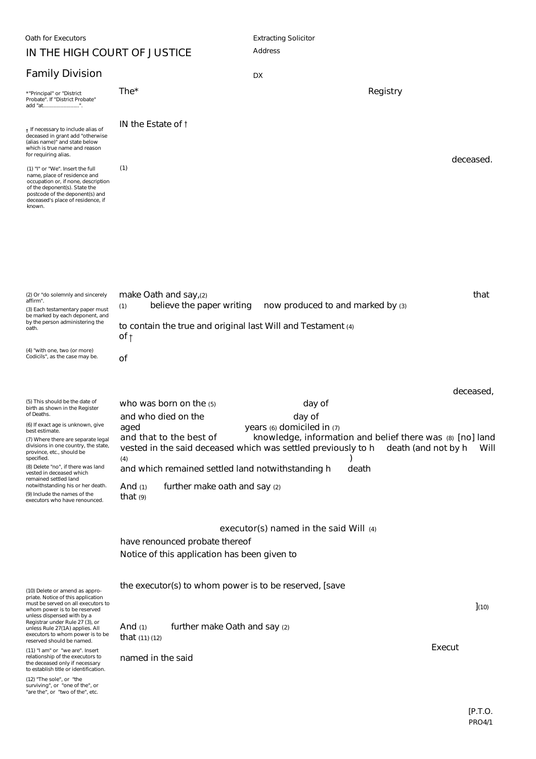## **IN THE HIGH COURT OF JUSTICE**

## **Family Division**

| <b>Family Division</b>                                                                                                                                                                                                                                                                                                                                                                                                                                          | DX                                                                                                                                                                                                                                                                                                                                                                                                                                                                               |      |
|-----------------------------------------------------------------------------------------------------------------------------------------------------------------------------------------------------------------------------------------------------------------------------------------------------------------------------------------------------------------------------------------------------------------------------------------------------------------|----------------------------------------------------------------------------------------------------------------------------------------------------------------------------------------------------------------------------------------------------------------------------------------------------------------------------------------------------------------------------------------------------------------------------------------------------------------------------------|------|
| *"Principal" or "District<br>Probate". If "District Probate"<br>add "at".                                                                                                                                                                                                                                                                                                                                                                                       | The*<br><b>Registry</b>                                                                                                                                                                                                                                                                                                                                                                                                                                                          |      |
| + If necessary to include alias of<br>deceased in grant add "otherwise<br>(alias name)" and state below<br>which is true name and reason<br>for requiring alias.                                                                                                                                                                                                                                                                                                | IN the Estate of t<br>deceased.                                                                                                                                                                                                                                                                                                                                                                                                                                                  |      |
| (1) "I" or "We". Insert the full<br>name, place of residence and<br>occupation or, if none, description<br>of the deponent(s). State the<br>postcode of the deponent(s) and<br>deceased's place of residence, if<br>known.                                                                                                                                                                                                                                      | (1)                                                                                                                                                                                                                                                                                                                                                                                                                                                                              |      |
| (2) Or "do solemnly and sincerely<br>affirm".<br>(3) Each testamentary paper must<br>be marked by each deponent, and<br>by the person administering the<br>oath.                                                                                                                                                                                                                                                                                                | that<br>make Oath and say,(2)<br>believe the paper writing<br>now produced to and marked by (3)<br>(1)<br>to contain the true and original last Will and Testament (4)<br>of †                                                                                                                                                                                                                                                                                                   |      |
| (4) "with one, two (or more)<br>Codicils", as the case may be.                                                                                                                                                                                                                                                                                                                                                                                                  | οf                                                                                                                                                                                                                                                                                                                                                                                                                                                                               |      |
| (5) This should be the date of<br>birth as shown in the Register<br>of Deaths.<br>(6) If exact age is unknown, give<br>best estimate.<br>(7) Where there are separate legal<br>divisions in one country, the state,<br>province, etc., should be<br>specified.<br>(8) Delete "no", if there was land<br>vested in deceased which<br>remained settled land<br>notwithstanding his or her death.<br>(9) Include the names of the<br>executors who have renounced. | deceased,<br>day of<br>who was born on the (5)<br>day of<br>and who died on the<br>years (6) domiciled in (7)<br>aged<br>and that to the best of<br>knowledge, information and belief there was (8) [no] land<br>vested in the said deceased which was settled previously to h<br>death (and not by h<br>(4)<br>and which remained settled land notwithstanding h<br>death<br>further make oath and say (2)<br>And $(1)$<br>that $(9)$<br>executor(s) named in the said Will (4) | Will |
|                                                                                                                                                                                                                                                                                                                                                                                                                                                                 | have renounced probate thereof<br>Notice of this application has been given to                                                                                                                                                                                                                                                                                                                                                                                                   |      |
| (10) Delete or amend as appro-<br>priate. Notice of this application<br>must be served on all executors to<br>whom power is to be reserved<br>unless dispensed with by a<br>Registrar under Rule 27 (3), or<br>unless Rule 27(1A) applies. All<br>executors to whom power is to be<br>reserved should be named.                                                                                                                                                 | the executor(s) to whom power is to be reserved, [save<br>(10)<br>further make Oath and say (2)<br>And $(1)$<br>that $(11)$ $(12)$                                                                                                                                                                                                                                                                                                                                               |      |
| (11) "I am" or "we are". Insert<br>relationship of the executors to<br>the deceased only if necessary<br>to establish title or identification.                                                                                                                                                                                                                                                                                                                  | Execut<br>named in the said                                                                                                                                                                                                                                                                                                                                                                                                                                                      |      |
| (12) "The sole", or "the<br>surviving", or "one of the", or<br>"are the", or "two of the", etc.                                                                                                                                                                                                                                                                                                                                                                 |                                                                                                                                                                                                                                                                                                                                                                                                                                                                                  |      |

Address